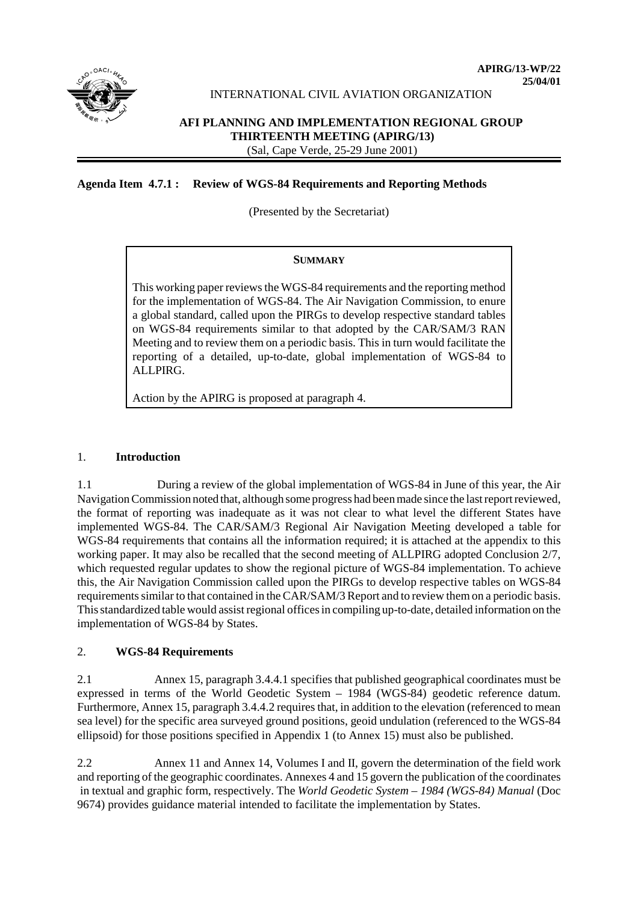

# INTERNATIONAL CIVIL AVIATION ORGANIZATION

# **AFI PLANNING AND IMPLEMENTATION REGIONAL GROUP THIRTEENTH MEETING (APIRG/13)** (Sal, Cape Verde, 25-29 June 2001)

# **Agenda Item 4.7.1 : Review of WGS-84 Requirements and Reporting Methods**

(Presented by the Secretariat)

#### **SUMMARY**

This working paper reviews the WGS-84 requirements and the reporting method for the implementation of WGS-84. The Air Navigation Commission, to enure a global standard, called upon the PIRGs to develop respective standard tables on WGS-84 requirements similar to that adopted by the CAR/SAM/3 RAN Meeting and to review them on a periodic basis. This in turn would facilitate the reporting of a detailed, up-to-date, global implementation of WGS-84 to ALLPIRG.

Action by the APIRG is proposed at paragraph 4.

# 1. **Introduction**

1.1 During a review of the global implementation of WGS-84 in June of this year, the Air Navigation Commission noted that, although some progress had been made since the last report reviewed, the format of reporting was inadequate as it was not clear to what level the different States have implemented WGS-84. The CAR/SAM/3 Regional Air Navigation Meeting developed a table for WGS-84 requirements that contains all the information required; it is attached at the appendix to this working paper. It may also be recalled that the second meeting of ALLPIRG adopted Conclusion 2/7, which requested regular updates to show the regional picture of WGS-84 implementation. To achieve this, the Air Navigation Commission called upon the PIRGs to develop respective tables on WGS-84 requirements similar to that contained in the CAR/SAM/3 Report and to review them on a periodic basis. This standardized table would assist regional offices in compiling up-to-date, detailed information on the implementation of WGS-84 by States.

# 2. **WGS-84 Requirements**

2.1 Annex 15, paragraph 3.4.4.1 specifies that published geographical coordinates must be expressed in terms of the World Geodetic System – 1984 (WGS-84) geodetic reference datum. Furthermore, Annex 15, paragraph 3.4.4.2 requires that, in addition to the elevation (referenced to mean sea level) for the specific area surveyed ground positions, geoid undulation (referenced to the WGS-84 ellipsoid) for those positions specified in Appendix 1 (to Annex 15) must also be published.

2.2 Annex 11 and Annex 14, Volumes I and II, govern the determination of the field work and reporting of the geographic coordinates. Annexes 4 and 15 govern the publication of the coordinates in textual and graphic form, respectively. The *World Geodetic System – 1984 (WGS-84) Manual* (Doc 9674) provides guidance material intended to facilitate the implementation by States.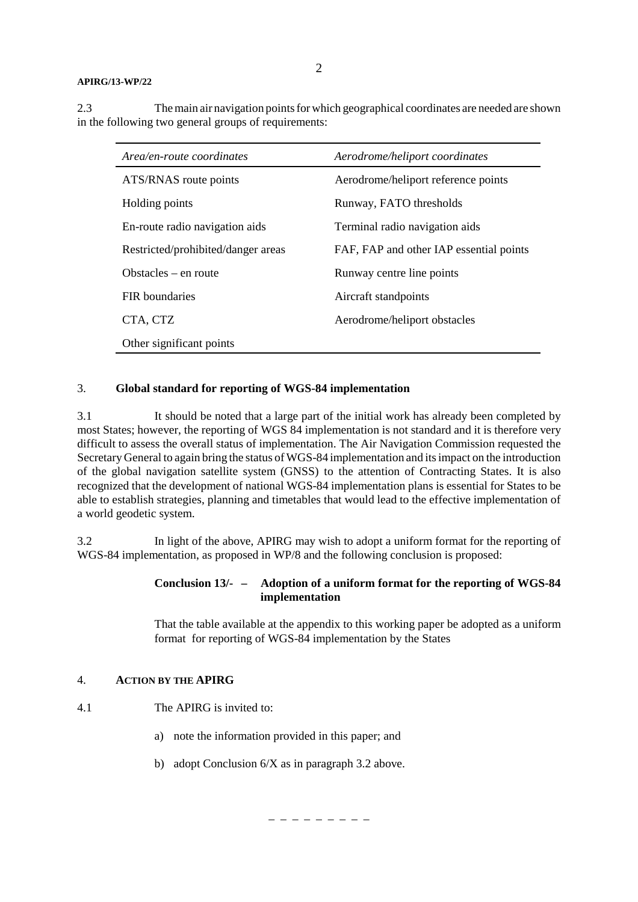2.3 The main air navigation points for which geographical coordinates are needed are shown in the following two general groups of requirements:

| Area/en-route coordinates          | Aerodrome/heliport coordinates          |
|------------------------------------|-----------------------------------------|
| ATS/RNAS route points              | Aerodrome/heliport reference points     |
| Holding points                     | Runway, FATO thresholds                 |
| En-route radio navigation aids     | Terminal radio navigation aids          |
| Restricted/prohibited/danger areas | FAF, FAP and other IAP essential points |
| Obstacles $-$ en route             | Runway centre line points               |
| <b>FIR</b> boundaries              | Aircraft standpoints                    |
| CTA, CTZ                           | Aerodrome/heliport obstacles            |
| Other significant points           |                                         |

#### 3. **Global standard for reporting of WGS-84 implementation**

3.1 It should be noted that a large part of the initial work has already been completed by most States; however, the reporting of WGS 84 implementation is not standard and it is therefore very difficult to assess the overall status of implementation. The Air Navigation Commission requested the Secretary General to again bring the status of WGS-84 implementation and its impact on the introduction of the global navigation satellite system (GNSS) to the attention of Contracting States. It is also recognized that the development of national WGS-84 implementation plans is essential for States to be able to establish strategies, planning and timetables that would lead to the effective implementation of a world geodetic system.

3.2 In light of the above, APIRG may wish to adopt a uniform format for the reporting of WGS-84 implementation, as proposed in WP/8 and the following conclusion is proposed:

# **Conclusion 13/- – Adoption of a uniform format for the reporting of WGS-84 implementation**

That the table available at the appendix to this working paper be adopted as a uniform format for reporting of WGS-84 implementation by the States

# 4. **ACTION BY THE APIRG**

- 4.1 The APIRG is invited to:
	- a) note the information provided in this paper; and
	- b) adopt Conclusion 6/X as in paragraph 3.2 above.

– – – – – – – – –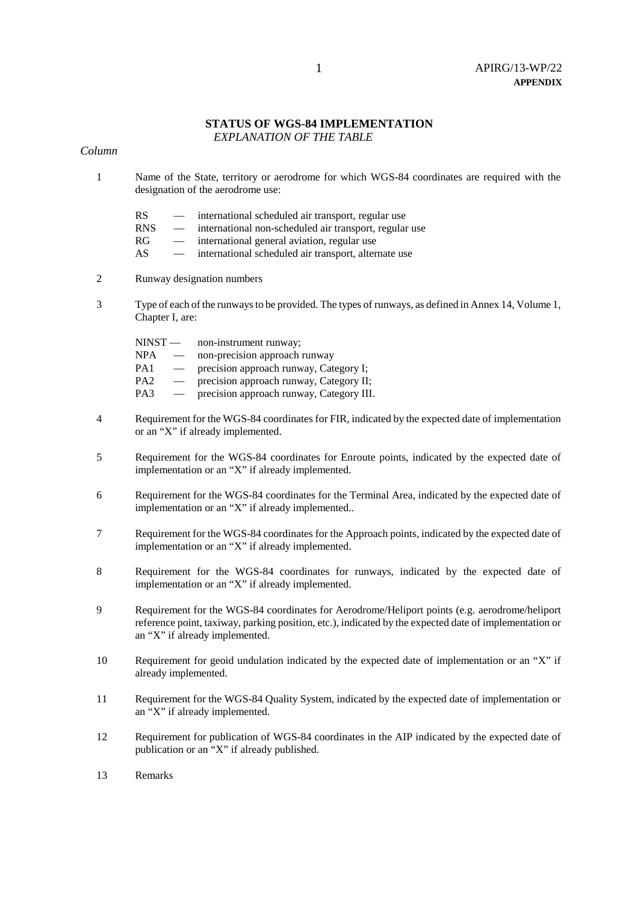# **STATUS OF WGS-84 IMPLEMENTATION**

 *EXPLANATION OF THE TABLE*

# *Column*

- 1 Name of the State, territory or aerodrome for which WGS-84 coordinates are required with the designation of the aerodrome use:
	- RS international scheduled air transport, regular use
	- RNS international non-scheduled air transport, regular use
	- RG international general aviation, regular use
	- AS international scheduled air transport, alternate use
- 2 Runway designation numbers
- 3 Type of each of the runways to be provided. The types of runways, as defined in Annex 14, Volume 1, Chapter I, are:

| $NINST -$       |                          | non-instrument runway;                   |
|-----------------|--------------------------|------------------------------------------|
| <b>NPA</b>      | $\overline{\phantom{m}}$ | non-precision approach runway            |
| PA <sub>1</sub> |                          | precision approach runway, Category I;   |
| PA <sub>2</sub> |                          | precision approach runway, Category II;  |
| PA3             |                          | precision approach runway, Category III. |

- 4 Requirement for the WGS-84 coordinates for FIR, indicated by the expected date of implementation or an "X" if already implemented.
- 5 Requirement for the WGS-84 coordinates for Enroute points, indicated by the expected date of implementation or an "X" if already implemented.
- 6 Requirement for the WGS-84 coordinates for the Terminal Area, indicated by the expected date of implementation or an "X" if already implemented..
- 7 Requirement for the WGS-84 coordinates for the Approach points, indicated by the expected date of implementation or an "X" if already implemented.
- 8 Requirement for the WGS-84 coordinates for runways, indicated by the expected date of implementation or an "X" if already implemented.
- 9 Requirement for the WGS-84 coordinates for Aerodrome/Heliport points (e.g. aerodrome/heliport reference point, taxiway, parking position, etc.), indicated by the expected date of implementation or an "X" if already implemented.
- 10 Requirement for geoid undulation indicated by the expected date of implementation or an "X" if already implemented.
- 11 Requirement for the WGS-84 Quality System, indicated by the expected date of implementation or an "X" if already implemented.
- 12 Requirement for publication of WGS-84 coordinates in the AIP indicated by the expected date of publication or an "X" if already published.
- 13 Remarks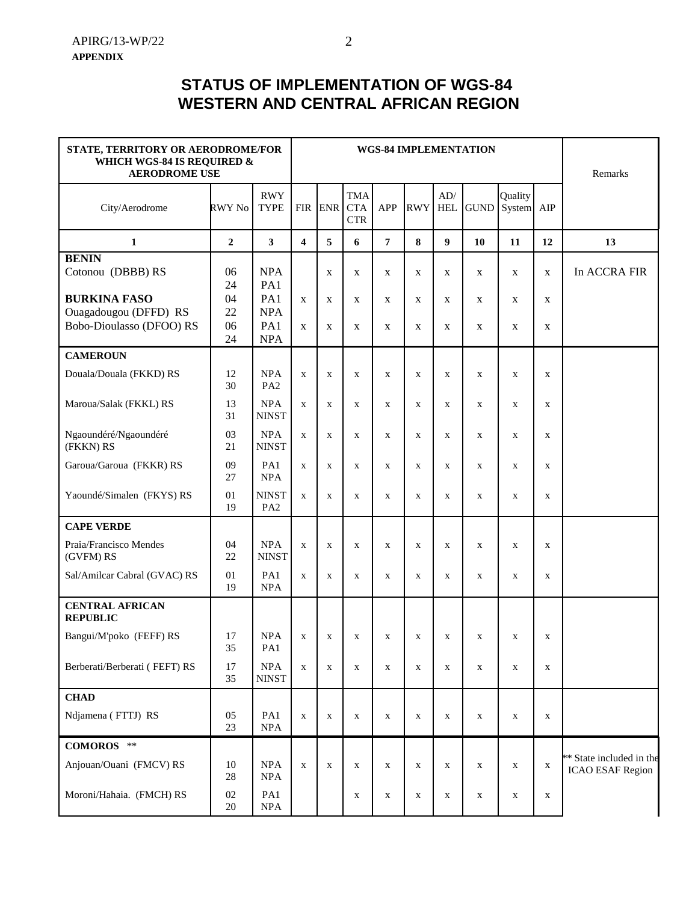# **STATUS OF IMPLEMENTATION OF WGS-84 WESTERN AND CENTRAL AFRICAN REGION**

| STATE, TERRITORY OR AERODROME/FOR<br>WHICH WGS-84 IS REQUIRED &<br><b>AERODROME USE</b> |                  |                                 | <b>WGS-84 IMPLEMENTATION</b> | Remarks          |                                        |                   |             |                   |                            |                   |              |                                                     |
|-----------------------------------------------------------------------------------------|------------------|---------------------------------|------------------------------|------------------|----------------------------------------|-------------------|-------------|-------------------|----------------------------|-------------------|--------------|-----------------------------------------------------|
| City/Aerodrome                                                                          | RWY No           | <b>RWY</b><br><b>TYPE</b>       | <b>FIR</b>                   | <b>ENR</b>       | <b>TMA</b><br><b>CTA</b><br><b>CTR</b> | APP               | <b>RWY</b>  | AD/<br><b>HEL</b> | <b>GUND</b>                | Quality<br>System | AIP          |                                                     |
| 1                                                                                       | $\boldsymbol{2}$ | 3                               | $\overline{\mathbf{4}}$      | 5                | 6                                      | $\overline{7}$    | 8           | 9                 | 10                         | 11                | 12           | 13                                                  |
| <b>BENIN</b><br>Cotonou (DBBB) RS                                                       | 06<br>24         | <b>NPA</b><br>PA1               |                              | $\mathbf X$      | X                                      | $\mathbf x$       | $\mathbf X$ | $\mathbf X$       | $\mathbf X$                | X                 | X            | In ACCRA FIR                                        |
| <b>BURKINA FASO</b><br>Ouagadougou (DFFD) RS<br>Bobo-Dioulasso (DFOO) RS                | 04<br>22<br>06   | PA1<br><b>NPA</b><br>PA1        | $\mathbf X$<br>$\mathbf X$   | $\mathbf X$<br>X | X<br>X                                 | $\mathbf{x}$<br>X | X<br>X      | X<br>X            | $\mathbf X$<br>$\mathbf X$ | X<br>X            | X<br>X       |                                                     |
|                                                                                         | 24               | <b>NPA</b>                      |                              |                  |                                        |                   |             |                   |                            |                   |              |                                                     |
| <b>CAMEROUN</b><br>Douala/Douala (FKKD) RS                                              | 12<br>30         | <b>NPA</b><br>PA <sub>2</sub>   | $\mathbf X$                  | $\mathbf X$      | $\mathbf{X}$                           | $\mathbf x$       | $\mathbf X$ | $\mathbf X$       | $\mathbf X$                | $\mathbf X$       | $\mathbf{X}$ |                                                     |
| Maroua/Salak (FKKL) RS                                                                  | 13<br>31         | <b>NPA</b><br><b>NINST</b>      | $\mathbf X$                  | $\mathbf{x}$     | $\mathbf{x}$                           | X                 | X           | $\mathbf X$       | $\mathbf X$                | X                 | X            |                                                     |
| Ngaoundéré/Ngaoundéré<br>(FKKN) RS                                                      | 03<br>21         | <b>NPA</b><br><b>NINST</b>      | $\mathbf x$                  | $\mathbf X$      | $\mathbf{X}$                           | X                 | $\mathbf X$ | $\mathbf X$       | $\mathbf X$                | $\mathbf{X}$      | $\mathbf{X}$ |                                                     |
| Garoua/Garoua (FKKR) RS                                                                 | 09<br>27         | PA1<br><b>NPA</b>               | $\mathbf X$                  | $\mathbf X$      | $\mathbf X$                            | $\mathbf x$       | $\mathbf X$ | $\mathbf X$       | $\mathbf X$                | $\mathbf{X}$      | $\mathbf X$  |                                                     |
| Yaoundé/Simalen (FKYS) RS                                                               | 01<br>19         | <b>NINST</b><br>PA <sub>2</sub> | $\mathbf X$                  | $\mathbf X$      | $\mathbf X$                            | $\mathbf X$       | $\mathbf X$ | $\mathbf X$       | $\mathbf X$                | $\mathbf X$       | $\mathbf X$  |                                                     |
| <b>CAPE VERDE</b>                                                                       |                  |                                 |                              |                  |                                        |                   |             |                   |                            |                   |              |                                                     |
| Praia/Francisco Mendes<br>(GVFM) RS                                                     | 04<br>22         | <b>NPA</b><br><b>NINST</b>      | $\mathbf X$                  | $\mathbf X$      | $\mathbf X$                            | X                 | X           | $\mathbf X$       | $\mathbf X$                | X                 | X            |                                                     |
| Sal/Amilcar Cabral (GVAC) RS                                                            | 01<br>19         | PA1<br><b>NPA</b>               | $\mathbf X$                  | $\mathbf X$      | X                                      | X                 | X           | $\mathbf X$       | $\mathbf X$                | X                 | X            |                                                     |
| <b>CENTRAL AFRICAN</b><br><b>REPUBLIC</b>                                               |                  |                                 |                              |                  |                                        |                   |             |                   |                            |                   |              |                                                     |
| Bangui/M'poko (FEFF) RS                                                                 | 17<br>35         | $\rm NPA$<br>PA1                | $\mathbf X$                  | $\mathbf X$      | X                                      | X                 | X           | $\mathbf X$       | $\mathbf X$                | X                 | X            |                                                     |
| Berberati/Berberati (FEFT) RS                                                           | 17<br>35         | <b>NPA</b><br><b>NINST</b>      | $\mathbf X$                  | $\mathbf X$      | $\mathbf x$                            | $\mathbf X$       | $\mathbf X$ | $\mathbf X$       | $\mathbf X$                | $\mathbf X$       | $\mathbf X$  |                                                     |
| <b>CHAD</b>                                                                             |                  |                                 |                              |                  |                                        |                   |             |                   |                            |                   |              |                                                     |
| Ndjamena (FTTJ) RS                                                                      | 05<br>23         | PA1<br><b>NPA</b>               | $\mathbf X$                  | $\mathbf X$      | X                                      | X                 | X           | $\mathbf X$       | $\mathbf X$                | X                 | X            |                                                     |
| COMOROS **                                                                              |                  |                                 |                              |                  |                                        |                   |             |                   |                            |                   |              |                                                     |
| Anjouan/Ouani (FMCV) RS                                                                 | 10<br>28         | <b>NPA</b><br>NPA               | $\mathbf X$                  | $\mathbf X$      | $\mathbf X$                            | $\mathbf X$       | $\mathbf X$ | $\mathbf X$       | $\mathbf X$                | $\mathbf X$       | $\mathbf X$  | ** State included in the<br><b>ICAO ESAF Region</b> |
| Moroni/Hahaia. (FMCH) RS                                                                | 02<br>20         | PA1<br><b>NPA</b>               |                              |                  | X                                      | X                 | X           | $\mathbf X$       | $\mathbf X$                | X                 | X            |                                                     |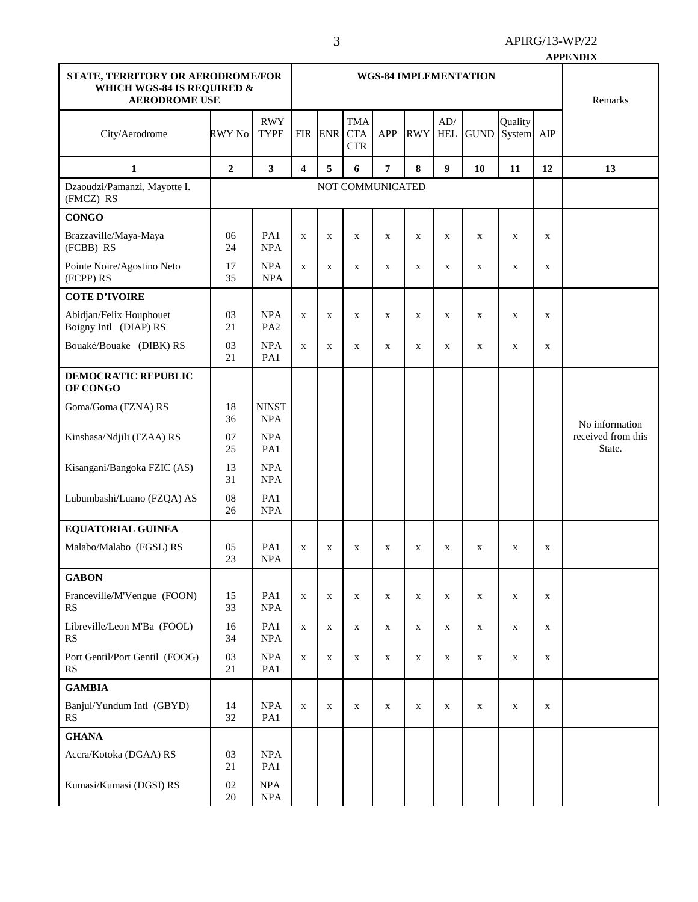|                                                                                         |                  |                               |                              |              |                                        |                  |             |                   |              |                   |              | <b>APPENDIX</b>              |
|-----------------------------------------------------------------------------------------|------------------|-------------------------------|------------------------------|--------------|----------------------------------------|------------------|-------------|-------------------|--------------|-------------------|--------------|------------------------------|
| STATE, TERRITORY OR AERODROME/FOR<br>WHICH WGS-84 IS REQUIRED &<br><b>AERODROME USE</b> |                  |                               | <b>WGS-84 IMPLEMENTATION</b> |              |                                        |                  |             |                   |              |                   |              | Remarks                      |
| City/Aerodrome                                                                          | RWY No           | <b>RWY</b><br><b>TYPE</b>     | <b>FIR</b>                   | <b>ENR</b>   | <b>TMA</b><br><b>CTA</b><br><b>CTR</b> | <b>APP</b>       | <b>RWY</b>  | AD/<br><b>HEL</b> | <b>GUND</b>  | Quality<br>System | AIP          |                              |
| 1                                                                                       | $\overline{2}$   | 3                             | $\overline{\mathbf{4}}$      | 5            | 6                                      | $\overline{7}$   | 8           | 9                 | 10           | 11                | 12           | 13                           |
| Dzaoudzi/Pamanzi, Mayotte I.<br>(FMCZ) RS                                               |                  |                               |                              |              |                                        | NOT COMMUNICATED |             |                   |              |                   |              |                              |
| <b>CONGO</b>                                                                            |                  |                               |                              |              |                                        |                  |             |                   |              |                   |              |                              |
| Brazzaville/Maya-Maya<br>(FCBB) RS                                                      | 06<br>24         | PA1<br><b>NPA</b>             | $\mathbf X$                  | X            | $\mathbf{X}$                           | $\mathbf{x}$     | $\mathbf X$ | $\mathbf X$       | $\mathbf X$  | $\mathbf X$       | $\mathbf X$  |                              |
| Pointe Noire/Agostino Neto<br>(FCPP) RS                                                 | 17<br>35         | <b>NPA</b><br><b>NPA</b>      | $\mathbf{x}$                 | $\mathbf{X}$ | $\mathbf{x}$                           | $\mathbf{X}$     | $\mathbf x$ | $\mathbf{X}$      | $\mathbf{X}$ | X                 | $\mathbf{X}$ |                              |
| <b>COTE D'IVOIRE</b>                                                                    |                  |                               |                              |              |                                        |                  |             |                   |              |                   |              |                              |
| Abidjan/Felix Houphouet<br>Boigny Intl (DIAP) RS                                        | 03<br>21         | <b>NPA</b><br>PA <sub>2</sub> | $\mathbf X$                  | $\mathbf X$  | $\mathbf X$                            | $\mathbf X$      | $\mathbf X$ | $\mathbf X$       | $\mathbf X$  | $\mathbf X$       | $\mathbf X$  |                              |
| Bouaké/Bouake (DIBK) RS                                                                 | 03<br>21         | <b>NPA</b><br>PA1             | $\mathbf x$                  | $\mathbf X$  | $\mathbf X$                            | $\mathbf X$      | $\mathbf X$ | $\mathbf X$       | $\mathbf X$  | $\mathbf X$       | $\mathbf X$  |                              |
| DEMOCRATIC REPUBLIC<br>OF CONGO                                                         |                  |                               |                              |              |                                        |                  |             |                   |              |                   |              |                              |
| Goma/Goma (FZNA) RS                                                                     | 18<br>36         | <b>NINST</b><br><b>NPA</b>    |                              |              |                                        |                  |             |                   |              |                   |              | No information               |
| Kinshasa/Ndjili (FZAA) RS                                                               | 07<br>25         | <b>NPA</b><br>PA1             |                              |              |                                        |                  |             |                   |              |                   |              | received from this<br>State. |
| Kisangani/Bangoka FZIC (AS)                                                             | 13<br>31         | <b>NPA</b><br><b>NPA</b>      |                              |              |                                        |                  |             |                   |              |                   |              |                              |
| Lubumbashi/Luano (FZQA) AS                                                              | 08<br>26         | PA1<br><b>NPA</b>             |                              |              |                                        |                  |             |                   |              |                   |              |                              |
| EQUATORIAL GUINEA                                                                       |                  |                               |                              |              |                                        |                  |             |                   |              |                   |              |                              |
| Malabo/Malabo (FGSL) RS                                                                 | 05<br>23         | PA1<br><b>NPA</b>             | $\mathbf{X}$                 | X            | X                                      | X                | X           | X                 | X            | X                 | X            |                              |
| <b>GABON</b>                                                                            |                  |                               |                              |              |                                        |                  |             |                   |              |                   |              |                              |
| Franceville/M'Vengue (FOON)<br>RS                                                       | 15<br>33         | PA1<br><b>NPA</b>             | $\mathbf X$                  | $\mathbf X$  | $\mathbf X$                            | $\mathbf X$      | $\mathbf X$ | $\mathbf X$       | $\mathbf X$  | $\mathbf X$       | $\mathbf X$  |                              |
| Libreville/Leon M'Ba (FOOL)<br><b>RS</b>                                                | 16<br>34         | PA1<br>$\rm NPA$              | $\mathbf X$                  | $\mathbf x$  | $\mathbf X$                            | $\mathbf X$      | $\mathbf X$ | $\mathbf X$       | $\mathbf X$  | $\mathbf X$       | $\mathbf X$  |                              |
| Port Gentil/Port Gentil (FOOG)<br>RS                                                    | 03<br>21         | <b>NPA</b><br>PA1             | $\mathbf X$                  | X            | X                                      | X                | $\mathbf X$ | $\mathbf X$       | $\mathbf X$  | X                 | $\mathbf X$  |                              |
| <b>GAMBIA</b>                                                                           |                  |                               |                              |              |                                        |                  |             |                   |              |                   |              |                              |
| Banjul/Yundum Intl (GBYD)<br>RS                                                         | 14<br>32         | <b>NPA</b><br>PA1             | $\mathbf x$                  | $\mathbf x$  | $\mathbf X$                            | $\mathbf X$      | $\mathbf X$ | $\mathbf X$       | $\mathbf X$  | $\mathbf X$       | $\mathbf X$  |                              |
| <b>GHANA</b>                                                                            |                  |                               |                              |              |                                        |                  |             |                   |              |                   |              |                              |
| Accra/Kotoka (DGAA) RS                                                                  | 03<br>21         | NPA<br>PA1                    |                              |              |                                        |                  |             |                   |              |                   |              |                              |
| Kumasi/Kumasi (DGSI) RS                                                                 | $02\,$<br>$20\,$ | <b>NPA</b><br>$\rm NPA$       |                              |              |                                        |                  |             |                   |              |                   |              |                              |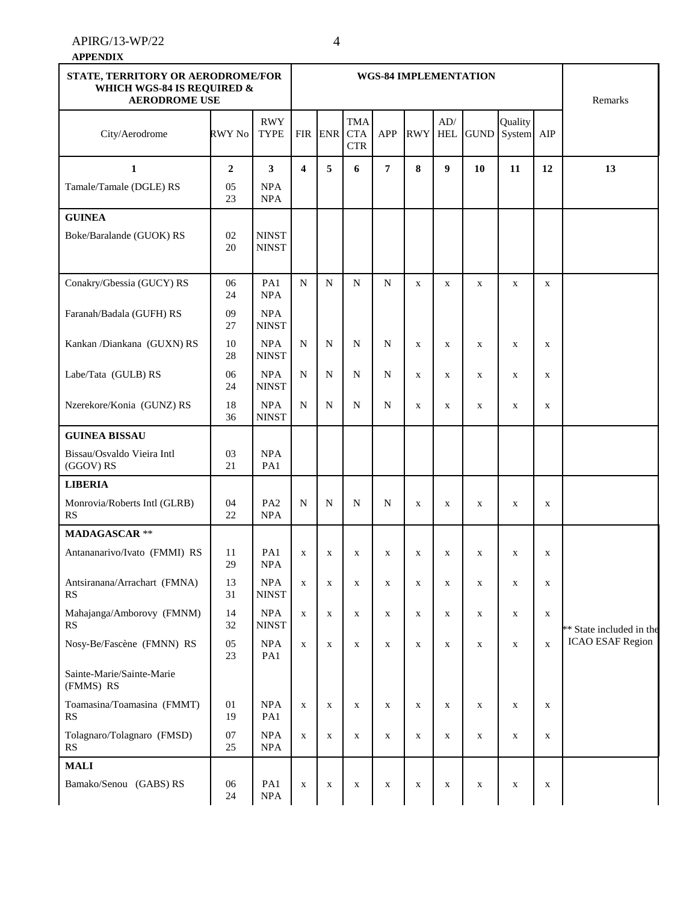#### **APPENDIX**

| STATE, TERRITORY OR AERODROME/FOR<br>WHICH WGS-84 IS REQUIRED &<br><b>AERODROME USE</b> |                |                               |                         | Remarks     |                                        |              |              |                   |             |                       |              |                          |
|-----------------------------------------------------------------------------------------|----------------|-------------------------------|-------------------------|-------------|----------------------------------------|--------------|--------------|-------------------|-------------|-----------------------|--------------|--------------------------|
| City/Aerodrome                                                                          | RWY No         | <b>RWY</b><br><b>TYPE</b>     |                         | FIR ENR     | <b>TMA</b><br><b>CTA</b><br><b>CTR</b> | APP          | <b>RWY</b>   | AD/<br><b>HEL</b> | <b>GUND</b> | Quality<br>System AIP |              |                          |
| $\mathbf{1}$                                                                            | $\overline{2}$ | $\mathbf{3}$                  | $\overline{\mathbf{4}}$ | 5           | 6                                      | 7            | 8            | $\boldsymbol{9}$  | 10          | 11                    | 12           | 13                       |
| Tamale/Tamale (DGLE) RS                                                                 | 05<br>23       | <b>NPA</b><br><b>NPA</b>      |                         |             |                                        |              |              |                   |             |                       |              |                          |
| <b>GUINEA</b>                                                                           |                |                               |                         |             |                                        |              |              |                   |             |                       |              |                          |
| Boke/Baralande (GUOK) RS                                                                | 02<br>20       | <b>NINST</b><br><b>NINST</b>  |                         |             |                                        |              |              |                   |             |                       |              |                          |
| Conakry/Gbessia (GUCY) RS                                                               | 06<br>24       | PA1<br><b>NPA</b>             | $\mathbf N$             | ${\bf N}$   | N                                      | N            | $\mathbf X$  | $\mathbf X$       | $\mathbf X$ | $\mathbf X$           | $\mathbf X$  |                          |
| Faranah/Badala (GUFH) RS                                                                | 09<br>27       | <b>NPA</b><br><b>NINST</b>    |                         |             |                                        |              |              |                   |             |                       |              |                          |
| Kankan /Diankana (GUXN) RS                                                              | 10<br>28       | NPA<br><b>NINST</b>           | N                       | $\mathbf N$ | N                                      | N            | X            | $\mathbf X$       | $\mathbf X$ | X                     | $\mathbf X$  |                          |
| Labe/Tata (GULB) RS                                                                     | 06<br>24       | <b>NPA</b><br><b>NINST</b>    | N                       | N           | N                                      | N            | $\mathbf{X}$ | $\mathbf X$       | $\mathbf X$ | X                     | $\mathbf{X}$ |                          |
| Nzerekore/Konia (GUNZ) RS                                                               | 18<br>36       | <b>NPA</b><br><b>NINST</b>    | N                       | $\mathbf N$ | N                                      | N            | X            | $\mathbf X$       | $\mathbf X$ | $\mathbf X$           | $\mathbf X$  |                          |
| <b>GUINEA BISSAU</b>                                                                    |                |                               |                         |             |                                        |              |              |                   |             |                       |              |                          |
| Bissau/Osvaldo Vieira Intl<br>(GGOV) RS                                                 | 03<br>21       | <b>NPA</b><br>PA1             |                         |             |                                        |              |              |                   |             |                       |              |                          |
| <b>LIBERIA</b>                                                                          |                |                               |                         |             |                                        |              |              |                   |             |                       |              |                          |
| Monrovia/Roberts Intl (GLRB)<br>RS                                                      | 04<br>22       | PA <sub>2</sub><br><b>NPA</b> | N                       | N           | N                                      | N            | X            | X                 | X           | X                     | X            |                          |
| <b>MADAGASCAR **</b>                                                                    |                |                               |                         |             |                                        |              |              |                   |             |                       |              |                          |
| Antananarivo/Ivato (FMMI) RS                                                            | 11<br>29       | PA1<br><b>NPA</b>             | $\mathbf X$             | $\mathbf X$ | $\mathbf X$                            | X            | X            | $\mathbf X$       | $\mathbf X$ | X                     | $\mathbf X$  |                          |
| Antsiranana/Arrachart (FMNA)<br><b>RS</b>                                               | 13<br>31       | NPA<br><b>NINST</b>           | $\mathbf X$             | $\mathbf X$ | $\mathbf X$                            | $\mathbf X$  | $\mathbf X$  | $\mathbf X$       | $\mathbf X$ | $\mathbf X$           | X            |                          |
| Mahajanga/Amborovy (FMNM)<br><b>RS</b>                                                  | 14<br>32       | <b>NPA</b><br><b>NINST</b>    | $\mathbf X$             | $\mathbf X$ | $\mathbf X$                            | $\mathbf X$  | X            | $\mathbf X$       | $\mathbf X$ | $\mathbf X$           | $\mathbf X$  | ** State included in the |
| Nosy-Be/Fascène (FMNN) RS                                                               | 05<br>23       | <b>NPA</b><br>PA1             | $\mathbf x$             | $\mathbf X$ | $\mathbf X$                            | $\mathbf X$  | $\mathbf X$  | $\mathbf X$       | $\mathbf X$ | $\mathbf X$           | $\mathbf X$  | <b>ICAO ESAF Region</b>  |
| Sainte-Marie/Sainte-Marie<br>(FMMS) RS                                                  |                |                               |                         |             |                                        |              |              |                   |             |                       |              |                          |
| Toamasina/Toamasina (FMMT)<br>RS                                                        | $01\,$<br>19   | <b>NPA</b><br>PA1             | $\mathbf X$             | $\mathbf X$ | $\mathbf{X}$                           | $\mathbf{X}$ | $\mathbf X$  | $\mathbf X$       | $\mathbf X$ | $\mathbf X$           | $\mathbf X$  |                          |
| Tolagnaro/Tolagnaro (FMSD)<br>RS                                                        | 07<br>25       | <b>NPA</b><br><b>NPA</b>      | $\mathbf x$             | $\mathbf x$ | $\mathbf{x}$                           | X            | X            | $\mathbf X$       | $\mathbf X$ | X                     | $\mathbf X$  |                          |
| <b>MALI</b>                                                                             |                |                               |                         |             |                                        |              |              |                   |             |                       |              |                          |
| Bamako/Senou (GABS) RS                                                                  | 06<br>24       | PA1<br>NPA                    | $\mathbf X$             | $\mathbf X$ | $\mathbf X$                            | $\mathbf X$  | $\mathbf X$  | $\mathbf X$       | $\mathbf X$ | X                     | $\mathbf X$  |                          |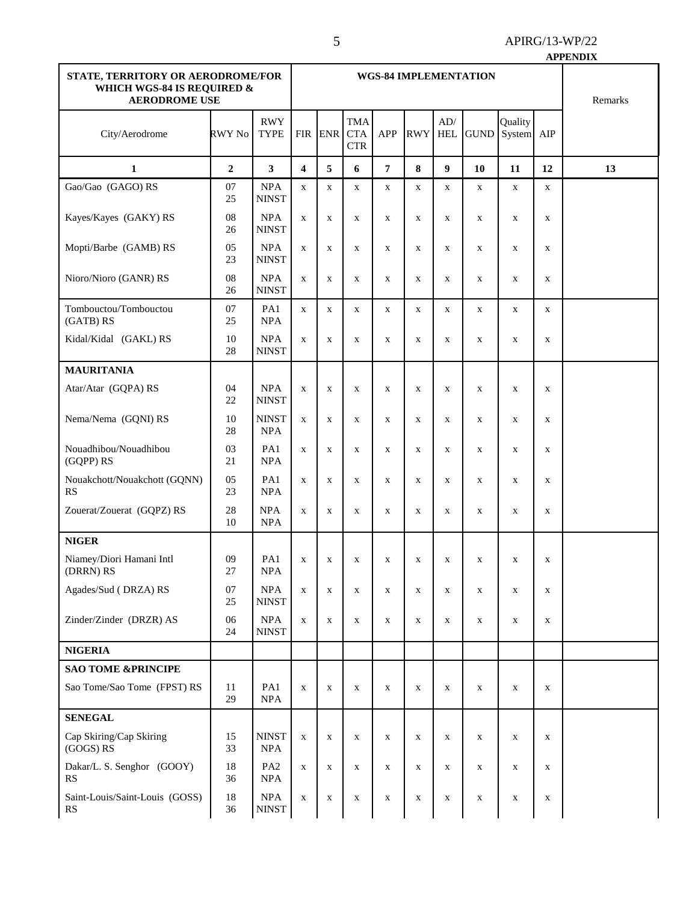|                                                                                         |                  |                            |                         |              |                                        |             |             |                   |              |                   |             | <b>APPENDIX</b> |
|-----------------------------------------------------------------------------------------|------------------|----------------------------|-------------------------|--------------|----------------------------------------|-------------|-------------|-------------------|--------------|-------------------|-------------|-----------------|
| STATE, TERRITORY OR AERODROME/FOR<br>WHICH WGS-84 IS REQUIRED &<br><b>AERODROME USE</b> |                  |                            |                         | Remarks      |                                        |             |             |                   |              |                   |             |                 |
| City/Aerodrome                                                                          | RWY No           | <b>RWY</b><br><b>TYPE</b>  |                         | FIR ENR      | <b>TMA</b><br><b>CTA</b><br><b>CTR</b> | <b>APP</b>  | <b>RWY</b>  | AD/<br><b>HEL</b> | <b>GUND</b>  | Quality<br>System | AIP         |                 |
| $\mathbf{1}$                                                                            | $\boldsymbol{2}$ | $\overline{\mathbf{3}}$    | $\overline{\mathbf{4}}$ | 5            | 6                                      | 7           | 8           | $\boldsymbol{9}$  | 10           | 11                | 12          | 13              |
| Gao/Gao (GAGO) RS                                                                       | 07<br>25         | NPA<br><b>NINST</b>        | $\mathbf X$             | $\mathbf{x}$ | $\mathbf X$                            | $\mathbf X$ | $\mathbf X$ | $\mathbf X$       | $\mathbf X$  | $\mathbf X$       | $\mathbf X$ |                 |
| Kayes/Kayes (GAKY) RS                                                                   | 08<br>26         | <b>NPA</b><br><b>NINST</b> | $\mathbf X$             | $\mathbf X$  | $\mathbf X$                            | $\mathbf X$ | $\mathbf X$ | $\mathbf X$       | $\mathbf X$  | $\mathbf X$       | $\mathbf X$ |                 |
| Mopti/Barbe (GAMB) RS                                                                   | 05<br>23         | <b>NPA</b><br><b>NINST</b> | $\mathbf X$             | X            | X                                      | $\mathbf X$ | $\mathbf X$ | X                 | $\mathbf X$  | $\mathbf X$       | $\mathbf X$ |                 |
| Nioro/Nioro (GANR) RS                                                                   | 08<br>26         | <b>NPA</b><br><b>NINST</b> | $\mathbf X$             | $\mathbf X$  | $\mathbf X$                            | $\mathbf X$ | $\mathbf X$ | X                 | $\mathbf X$  | $\mathbf X$       | $\mathbf X$ |                 |
| Tombouctou/Tombouctou<br>(GATB) RS                                                      | 07<br>25         | PA1<br><b>NPA</b>          | $\mathbf X$             | $\mathbf X$  | $\mathbf X$                            | $\mathbf X$ | $\mathbf X$ | $\mathbf X$       | $\mathbf X$  | $\mathbf X$       | $\mathbf X$ |                 |
| Kidal/Kidal (GAKL) RS                                                                   | 10<br>28         | <b>NPA</b><br><b>NINST</b> | $\mathbf X$             | X            | $\mathbf X$                            | $\mathbf X$ | $\mathbf X$ | $\mathbf X$       | $\mathbf X$  | $\mathbf X$       | $\mathbf X$ |                 |
| <b>MAURITANIA</b>                                                                       |                  |                            |                         |              |                                        |             |             |                   |              |                   |             |                 |
| Atar/Atar (GQPA) RS                                                                     | 04<br>22         | <b>NPA</b><br><b>NINST</b> | $\mathbf X$             | $\mathbf X$  | $\mathbf X$                            | $\mathbf X$ | $\mathbf X$ | $\mathbf X$       | $\mathbf X$  | $\mathbf X$       | $\mathbf X$ |                 |
| Nema/Nema (GQNI) RS                                                                     | 10<br>28         | <b>NINST</b><br><b>NPA</b> | $\mathbf X$             | $\mathbf X$  | $\mathbf X$                            | $\mathbf X$ | $\mathbf X$ | $\mathbf X$       | $\mathbf X$  | $\mathbf X$       | $\mathbf X$ |                 |
| Nouadhibou/Nouadhibou<br>(GQPP) RS                                                      | 03<br>21         | PA1<br><b>NPA</b>          | $\mathbf X$             | $\mathbf X$  | $\mathbf X$                            | $\mathbf X$ | $\mathbf X$ | $\mathbf X$       | $\mathbf X$  | $\mathbf X$       | $\mathbf X$ |                 |
| Nouakchott/Nouakchott (GQNN)<br>RS                                                      | 05<br>23         | PA1<br><b>NPA</b>          | $\mathbf X$             | X            | X                                      | $\mathbf X$ | $\mathbf X$ | $\mathbf X$       | $\mathbf X$  | $\mathbf X$       | $\mathbf X$ |                 |
| Zouerat/Zouerat (GQPZ) RS                                                               | 28<br>10         | <b>NPA</b><br><b>NPA</b>   | $\mathbf X$             | X            | X                                      | $\mathbf X$ | X           | X                 | X            | X                 | X           |                 |
| <b>NIGER</b>                                                                            |                  |                            |                         |              |                                        |             |             |                   |              |                   |             |                 |
| Niamey/Diori Hamani Intl<br>(DRRN) RS                                                   | $09\,$<br>27     | PA1<br>NPA                 |                         | $X \mid X$   | $\mathbf{X}$                           | X           | X           | X                 | $\mathbf{X}$ | $\mathbf{X}$      | X           |                 |
| Agades/Sud (DRZA) RS                                                                    | 07<br>25         | <b>NPA</b><br><b>NINST</b> | $\mathbf X$             | $\mathbf X$  | $\mathbf X$                            | $\mathbf X$ | $\mathbf X$ | X                 | $\mathbf X$  | $\mathbf X$       | $\mathbf X$ |                 |
| Zinder/Zinder (DRZR) AS                                                                 | 06<br>24         | <b>NPA</b><br><b>NINST</b> | $\mathbf X$             | X            | $\mathbf X$                            | $\mathbf X$ | $\mathbf X$ | X                 | X            | $\mathbf X$       | $\mathbf X$ |                 |
| <b>NIGERIA</b>                                                                          |                  |                            |                         |              |                                        |             |             |                   |              |                   |             |                 |
| <b>SAO TOME &amp;PRINCIPE</b>                                                           |                  |                            |                         |              |                                        |             |             |                   |              |                   |             |                 |
| Sao Tome/Sao Tome (FPST) RS                                                             | 11<br>29         | PA1<br>$\rm NPA$           | $\mathbf X$             | X            | $\mathbf X$                            | $\mathbf X$ | $\mathbf X$ | X                 | X            | $\mathbf X$       | $\mathbf X$ |                 |
| <b>SENEGAL</b>                                                                          |                  |                            |                         |              |                                        |             |             |                   |              |                   |             |                 |
| Cap Skiring/Cap Skiring<br>(GOGS) RS                                                    | 15<br>33         | <b>NINST</b><br>NPA        | $\mathbf X$             | X            | $\mathbf X$                            | $\mathbf X$ | $\mathbf X$ | $\mathbf X$       | $\mathbf X$  | $\mathbf X$       | $\mathbf X$ |                 |
| Dakar/L. S. Senghor (GOOY)<br><b>RS</b>                                                 | 18<br>36         | PA <sub>2</sub><br>NPA     | $\mathbf X$             | X            | X                                      | $\mathbf X$ | $\mathbf X$ | X                 | $\mathbf X$  | $\mathbf X$       | $\mathbf X$ |                 |
| Saint-Louis/Saint-Louis (GOSS)                                                          | 18               | $\sf{NPA}$                 | $\mathbf X$             | $\mathbf X$  | $\mathbf X$                            | $\mathbf X$ | $\mathbf X$ | X                 | $\mathbf X$  | $\mathbf X$       | $\mathbf X$ |                 |

RS

36

NINST